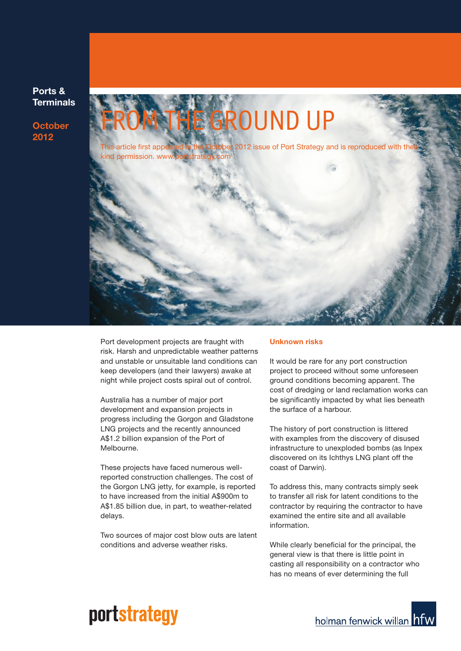**Ports & Terminals**

**October 2012**



Port development projects are fraught with risk. Harsh and unpredictable weather patterns and unstable or unsuitable land conditions can keep developers (and their lawyers) awake at night while project costs spiral out of control.

Australia has a number of major port development and expansion projects in progress including the Gorgon and Gladstone LNG projects and the recently announced A\$1.2 billion expansion of the Port of Melbourne.

These projects have faced numerous wellreported construction challenges. The cost of the Gorgon LNG jetty, for example, is reported to have increased from the initial A\$900m to A\$1.85 billion due, in part, to weather-related delays.

Two sources of major cost blow outs are latent conditions and adverse weather risks.

#### **Unknown risks**

It would be rare for any port construction project to proceed without some unforeseen ground conditions becoming apparent. The cost of dredging or land reclamation works can be significantly impacted by what lies beneath the surface of a harbour.

The history of port construction is littered with examples from the discovery of disused infrastructure to unexploded bombs (as Inpex discovered on its Ichthys LNG plant off the coast of Darwin).

To address this, many contracts simply seek to transfer all risk for latent conditions to the contractor by requiring the contractor to have examined the entire site and all available information.

While clearly beneficial for the principal, the general view is that there is little point in casting all responsibility on a contractor who has no means of ever determining the full

# portstrategy